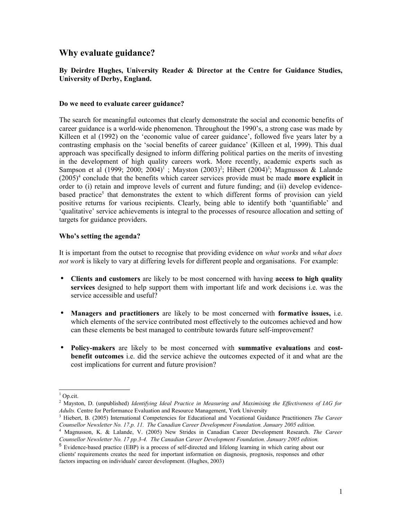# **Why evaluate guidance?**

# **By Deirdre Hughes, University Reader & Director at the Centre for Guidance Studies, University of Derby, England.**

#### **Do we need to evaluate career guidance?**

The search for meaningful outcomes that clearly demonstrate the social and economic benefits of career guidance is a world-wide phenomenon. Throughout the 1990's, a strong case was made by Killeen et al (1992) on the 'economic value of career guidance', followed five years later by a contrasting emphasis on the 'social benefits of career guidance' (Killeen et al, 1999). This dual approach was specifically designed to inform differing political parties on the merits of investing in the development of high quality careers work. More recently, academic experts such as Sampson et al ([1](#page-0-0)999; [2](#page-0-1)000; 2004)<sup>1</sup>; Mayston (200[3](#page-0-2))<sup>2</sup>; Hibert (2004)<sup>3</sup>; Magnusson & Lalande (2005)[4](#page-0-3) conclude that the benefits which career services provide must be made **more explicit** in order to (i) retain and improve levels of current and future funding; and (ii) develop evidence-based practice<sup>[5](#page-0-4)</sup> that demonstrates the extent to which different forms of provision can yield positive returns for various recipients. Clearly, being able to identify both 'quantifiable' and 'qualitative' service achievements is integral to the processes of resource allocation and setting of targets for guidance providers.

#### **Who's setting the agenda?**

It is important from the outset to recognise that providing evidence on *what works* and *what does not work* is likely to vary at differing levels for different people and organisations. For example:

- **Clients and customers** are likely to be most concerned with having **access to high quality services** designed to help support them with important life and work decisions i.e. was the service accessible and useful?
- **Managers and practitioners** are likely to be most concerned with **formative issues,** i.e. which elements of the service contributed most effectively to the outcomes achieved and how can these elements be best managed to contribute towards future self-improvement?
- **Policy-makers** are likely to be most concerned with **summative evaluations** and **costbenefit outcomes** i.e. did the service achieve the outcomes expected of it and what are the cost implications for current and future provision?

<span id="page-0-0"></span> $1$  Op.cit.

<span id="page-0-1"></span><sup>2</sup> Mayston, D. (unpublished) *Identifying Ideal Practice in Measuring and Maximising the Effectiveness of IAG for Adults.* Centre for Performance Evaluation and Resource Management, York University

<span id="page-0-2"></span><sup>3</sup> Hiebert, B. (2005) International Competencies for Educational and Vocational Guidance Practitioners *The Career Counsellor Newsletter No. 17.p. 11. The Canadian Career Development Foundation. January 2005 edition.*

<span id="page-0-3"></span><sup>4</sup> Magnusson, K. & Lalande, V. (2005) New Strides in Canadian Career Development Research. *The Career Counsellor Newsletter No. 17 pp.3-4. The Canadian Career Development Foundation. January 2005 edition.* 5 Evidence-based practice (EBP) is a process of self-directed and lifelong learning in which caring about our

<span id="page-0-4"></span>clients' requirements creates the need for important information on diagnosis, prognosis, responses and other factors impacting on individuals' career development. (Hughes, 2003)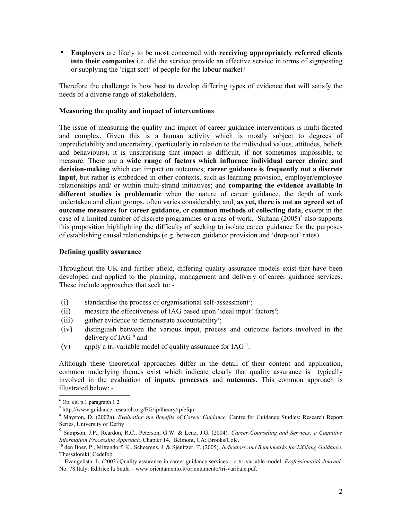• **Employers** are likely to be most concerned with **receiving appropriately referred clients into their companies** i.e. did the service provide an effective service in terms of signposting or supplying the 'right sort' of people for the labour market?

Therefore the challenge is how best to develop differing types of evidence that will satisfy the needs of a diverse range of stakeholders.

#### **Measuring the quality and impact of interventions**

The issue of measuring the quality and impact of career guidance interventions is multi-faceted and complex. Given this is a human activity which is mostly subject to degrees of unpredictability and uncertainty, (particularly in relation to the individual values, attitudes, beliefs and behaviours), it is unsurprising that impact is difficult, if not sometimes impossible, to measure. There are a **wide range of factors which influence individual career choice and decision-making** which can impact on outcomes; **career guidance is frequently not a discrete input**, but rather is embedded in other contexts, such as learning provision, employer/employee relationships and/ or within multi-strand initiatives; and **comparing the evidence available in different studies is problematic** when the nature of career guidance, the depth of work undertaken and client groups, often varies considerably; and, **as yet, there is not an agreed set of outcome measures for career guidance**, or **common methods of collecting data**, except in the case of a limited number of discrete programmes or areas of work. Sultana (2005)<sup>[6](#page-1-0)</sup> also supports this proposition highlighting the difficulty of seeking to isolate career guidance for the purposes of establishing causal relationships (e.g. between guidance provision and 'drop-out' rates).

#### **Defining quality assurance**

Throughout the UK and further afield, differing quality assurance models exist that have been developed and applied to the planning, management and delivery of career guidance services. These include approaches that seek to: -

- $(i)$  standardise the process of organisational self-assessment<sup>[7](#page-1-1)</sup>;
- $(i)$  measure the effectiveness of IAG based upon 'ideal input' factors<sup>[8](#page-1-2)</sup>;
- (iii) gather evidence to demonstrate accountability<sup>[9](#page-1-3)</sup>;
- (iv) distinguish between the various input, process and outcome factors involved in the delivery of  $IAG^{10}$  $IAG^{10}$  $IAG^{10}$  and
- (v) apply a tri-variable model of quality assurance for  $[AG<sup>11</sup>]$  $[AG<sup>11</sup>]$  $[AG<sup>11</sup>]$ .

Although these theoretical approaches differ in the detail of their content and application, common underlying themes exist which indicate clearly that quality assurance is typically involved in the evaluation of **inputs, processes** and **outcomes.** This common approach is illustrated below: -

<span id="page-1-0"></span> $6$  Op. cit. p.1 paragraph 1.2

<span id="page-1-1"></span><sup>7</sup> http://www.guidance-research.org/EG/ip/theory/tp/efqm

<span id="page-1-2"></span><sup>8</sup> Mayston, D. (2002a). *Evaluating the Benefits of Career Guidance,* Centre for Guidance Studies: Research Report Series, University of Derby

<span id="page-1-3"></span><sup>9</sup> Sampson, J.P., Reardon, R.C., Peterson, G.W. & Lenz, J.G. (2004). *Career Counseling and Services: a Cognitive Information Processing Approach.* Chapter 14.Belmont, CA: Brooks/Cole.

<span id="page-1-4"></span><sup>10</sup> den Boer, P., Mittendorf, K., Scheerens, J. & Sjenitzer, T. (2005). *Indicators and Benchmarks for Lifelong Guidance.* Thessaloniki: Cedefop

<span id="page-1-5"></span><sup>11</sup> Evangelista, L. (2003) Quality assurance in career guidance services – a tri-variable model. *Professionalità Journal.* No. 78 Italy: Editrice la Scula – [www.orientamento.it/orientamento/tri-varibale.pdf.](http://www.orientamento.it/orientamento/tri-varibale.pdf)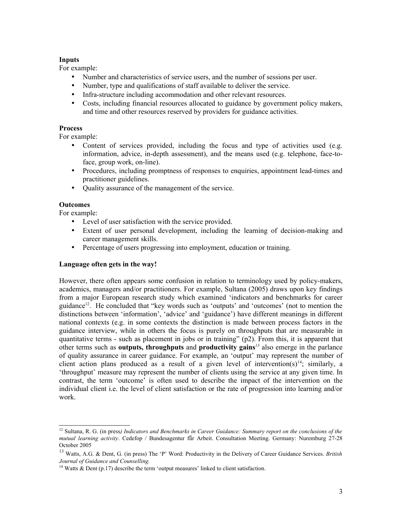## **Inputs**

For example:

- Number and characteristics of service users, and the number of sessions per user.
- Number, type and qualifications of staff available to deliver the service.
- Infra-structure including accommodation and other relevant resources.
- Costs, including financial resources allocated to guidance by government policy makers, and time and other resources reserved by providers for guidance activities.

## **Process**

For example:

- Content of services provided, including the focus and type of activities used (e.g. information, advice, in-depth assessment), and the means used (e.g. telephone, face-toface, group work, on-line).
- Procedures, including promptness of responses to enquiries, appointment lead-times and practitioner guidelines.
- Quality assurance of the management of the service.

# **Outcomes**

For example:

- Level of user satisfaction with the service provided.
- Extent of user personal development, including the learning of decision-making and career management skills.
- Percentage of users progressing into employment, education or training.

## **Language often gets in the way!**

However, there often appears some confusion in relation to terminology used by policy-makers, academics, managers and/or practitioners. For example, Sultana (2005) draws upon key findings from a major European research study which examined 'indicators and benchmarks for career guidance<sup>[12](#page-2-0)</sup>. He concluded that "key words such as 'outputs' and 'outcomes' (not to mention the distinctions between 'information', 'advice' and 'guidance') have different meanings in different national contexts (e.g. in some contexts the distinction is made between process factors in the guidance interview, while in others the focus is purely on throughputs that are measurable in quantitative terms - such as placement in jobs or in training" (p2). From this, it is apparent that other terms such as **outputs, throughputs** and **productivity gains***[13](#page-2-1)* also emerge in the parlance of quality assurance in career guidance. For example, an 'output' may represent the number of client action plans produced as a result of a given level of intervention(s)<sup>[14](#page-2-2)</sup>; similarly, a 'throughput' measure may represent the number of clients using the service at any given time. In contrast, the term 'outcome' is often used to describe the impact of the intervention on the individual client i.e. the level of client satisfaction or the rate of progression into learning and/or work.

<span id="page-2-0"></span><sup>12</sup> Sultana, R. G. (in press*) Indicators and Benchmarks in Career Guidance: Summary report on the conclusions of the mutual learning activity*. Cedefop / Bundesagentur fǖr Arbeit. Consultation Meeting. Germany: Nuremburg 27-28 October 2005

<span id="page-2-1"></span><sup>13</sup> Watts, A.G. & Dent, G. (in press) The 'P' Word: Productivity in the Delivery of Career Guidance Services. *British Journal of Guidance and Counselling.*

<span id="page-2-2"></span><sup>&</sup>lt;sup>14</sup> Watts  $\&$  Dent (p.17) describe the term 'output measures' linked to client satisfaction.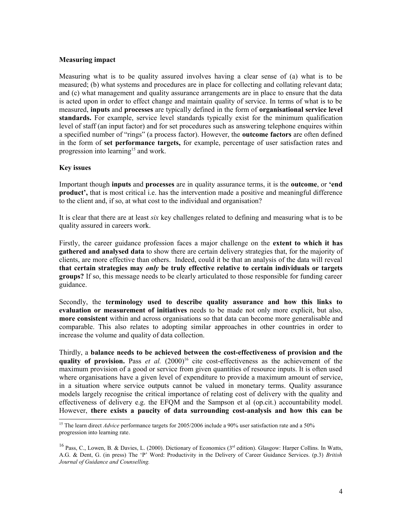#### **Measuring impact**

Measuring what is to be quality assured involves having a clear sense of (a) what is to be measured; (b) what systems and procedures are in place for collecting and collating relevant data; and (c) what management and quality assurance arrangements are in place to ensure that the data is acted upon in order to effect change and maintain quality of service. In terms of what is to be measured, **inputs** and **processes** are typically defined in the form of **organisational service level standards.** For example, service level standards typically exist for the minimum qualification level of staff (an input factor) and for set procedures such as answering telephone enquires within a specified number of "rings" (a process factor). However, the **outcome factors** are often defined in the form of **set performance targets,** for example, percentage of user satisfaction rates and progression into learning<sup>[15](#page-3-0)</sup> and work.

## **Key issues**

Important though **inputs** and **processes** are in quality assurance terms, it is the **outcome**, or **'end product',** that is most critical i.e. has the intervention made a positive and meaningful difference to the client and, if so, at what cost to the individual and organisation?

It is clear that there are at least *six* key challenges related to defining and measuring what is to be quality assured in careers work.

Firstly, the career guidance profession faces a major challenge on the **extent to which it has gathered and analysed data** to show there are certain delivery strategies that, for the majority of clients, are more effective than others. Indeed, could it be that an analysis of the data will reveal **that certain strategies may** *only* **be truly effective relative to certain individuals or targets groups?** If so, this message needs to be clearly articulated to those responsible for funding career guidance.

Secondly, the **terminology used to describe quality assurance and how this links to evaluation or measurement of initiatives** needs to be made not only more explicit, but also, **more consistent** within and across organisations so that data can become more generalisable and comparable. This also relates to adopting similar approaches in other countries in order to increase the volume and quality of data collection.

Thirdly, a **balance needs to be achieved between the cost-effectiveness of provision and the quality of provision.** Pass *et al.*  $(2000)^{16}$  $(2000)^{16}$  $(2000)^{16}$  cite cost-effectiveness as the achievement of the maximum provision of a good or service from given quantities of resource inputs. It is often used where organisations have a given level of expenditure to provide a maximum amount of service, in a situation where service outputs cannot be valued in monetary terms. Quality assurance models largely recognise the critical importance of relating cost of delivery with the quality and effectiveness of delivery e.g. the EFQM and the Sampson et al (op.cit.) accountability model. However, **there exists a paucity of data surrounding cost-analysis and how this can be**

<span id="page-3-0"></span><sup>&</sup>lt;sup>15</sup> The learn direct *Advice* performance targets for 2005/2006 include a 90% user satisfaction rate and a 50% progression into learning rate.

<span id="page-3-1"></span><sup>&</sup>lt;sup>16</sup> Pass, C., Lowen, B. & Davies, L. (2000). Dictionary of Economics ( $3<sup>rd</sup>$  edition). Glasgow: Harper Collins. In Watts, A.G. & Dent, G. (in press) The 'P' Word: Productivity in the Delivery of Career Guidance Services. (p.3) *British Journal of Guidance and Counselling.*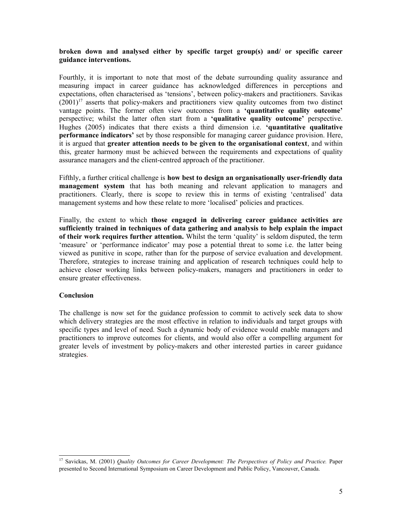## **broken down and analysed either by specific target group(s) and/ or specific career guidance interventions.**

Fourthly, it is important to note that most of the debate surrounding quality assurance and measuring impact in career guidance has acknowledged differences in perceptions and expectations, often characterised as 'tensions', between policy-makers and practitioners. Savikas  $(2001)^{17}$  $(2001)^{17}$  $(2001)^{17}$  asserts that policy-makers and practitioners view quality outcomes from two distinct vantage points. The former often view outcomes from a **'quantitative quality outcome'** perspective; whilst the latter often start from a **'qualitative quality outcome'** perspective. Hughes (2005) indicates that there exists a third dimension i.e. **'quantitative qualitative performance indicators'** set by those responsible for managing career guidance provision. Here, it is argued that **greater attention needs to be given to the organisational context**, and within this, greater harmony must be achieved between the requirements and expectations of quality assurance managers and the client-centred approach of the practitioner.

Fifthly, a further critical challenge is **how best to design an organisationally user-friendly data management system** that has both meaning and relevant application to managers and practitioners. Clearly, there is scope to review this in terms of existing 'centralised' data management systems and how these relate to more 'localised' policies and practices.

Finally, the extent to which **those engaged in delivering career guidance activities are sufficiently trained in techniques of data gathering and analysis to help explain the impact of their work requires further attention.** Whilst the term 'quality' is seldom disputed, the term 'measure' or 'performance indicator' may pose a potential threat to some i.e. the latter being viewed as punitive in scope, rather than for the purpose of service evaluation and development. Therefore, strategies to increase training and application of research techniques could help to achieve closer working links between policy-makers, managers and practitioners in order to ensure greater effectiveness.

## **Conclusion**

The challenge is now set for the guidance profession to commit to actively seek data to show which delivery strategies are the most effective in relation to individuals and target groups with specific types and level of need. Such a dynamic body of evidence would enable managers and practitioners to improve outcomes for clients, and would also offer a compelling argument for greater levels of investment by policy-makers and other interested parties in career guidance strategies.

<span id="page-4-0"></span><sup>17</sup> Savickas, M. (2001) *Quality Outcomes for Career Development: The Perspectives of Policy and Practice.* Paper presented to Second International Symposium on Career Development and Public Policy, Vancouver, Canada.